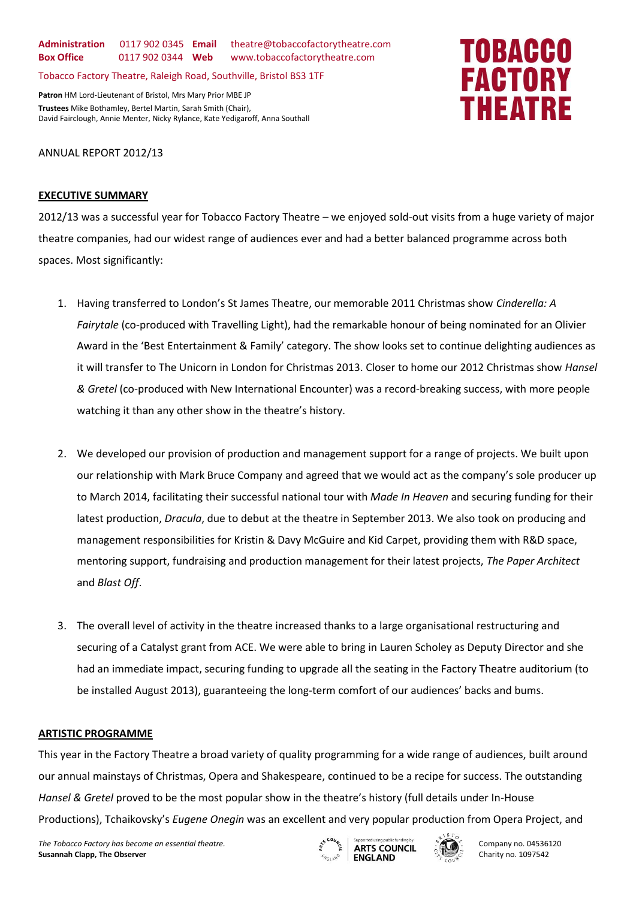**Administration** 0117 902 0345 **Email** theatre@tobaccofactorytheatre.com **Box Office** 0117 902 0344 **Web** www.tobaccofactorytheatre.com

Tobacco Factory Theatre, Raleigh Road, Southville, Bristol BS3 1TF

**Patron** HM Lord-Lieutenant of Bristol, Mrs Mary Prior MBE JP **Trustees** Mike Bothamley, Bertel Martin, Sarah Smith (Chair), David Fairclough, Annie Menter, Nicky Rylance, Kate Yedigaroff, Anna Southall

# ANNUAL REPORT 2012/13

# **EXECUTIVE SUMMARY**

2012/13 was a successful year for Tobacco Factory Theatre – we enjoyed sold-out visits from a huge variety of major theatre companies, had our widest range of audiences ever and had a better balanced programme across both spaces. Most significantly:

- 1. Having transferred to London's St James Theatre, our memorable 2011 Christmas show *Cinderella: A Fairytale* (co-produced with Travelling Light), had the remarkable honour of being nominated for an Olivier Award in the 'Best Entertainment & Family' category. The show looks set to continue delighting audiences as it will transfer to The Unicorn in London for Christmas 2013. Closer to home our 2012 Christmas show *Hansel & Gretel* (co-produced with New International Encounter) was a record-breaking success, with more people watching it than any other show in the theatre's history.
- 2. We developed our provision of production and management support for a range of projects. We built upon our relationship with Mark Bruce Company and agreed that we would act as the company's sole producer up to March 2014, facilitating their successful national tour with *Made In Heaven* and securing funding for their latest production, *Dracula*, due to debut at the theatre in September 2013. We also took on producing and management responsibilities for Kristin & Davy McGuire and Kid Carpet, providing them with R&D space, mentoring support, fundraising and production management for their latest projects, *The Paper Architect*  and *Blast Off*.
- 3. The overall level of activity in the theatre increased thanks to a large organisational restructuring and securing of a Catalyst grant from ACE. We were able to bring in Lauren Scholey as Deputy Director and she had an immediate impact, securing funding to upgrade all the seating in the Factory Theatre auditorium (to be installed August 2013), guaranteeing the long-term comfort of our audiences' backs and bums.

# **ARTISTIC PROGRAMME**

This year in the Factory Theatre a broad variety of quality programming for a wide range of audiences, built around our annual mainstays of Christmas, Opera and Shakespeare, continued to be a recipe for success. The outstanding *Hansel & Gretel* proved to be the most popular show in the theatre's history (full details under In-House Productions), Tchaikovsky's *Eugene Onegin* was an excellent and very popular production from Opera Project, and

The Tobacco Factory has become an essential theatre.<br>The Tobacco Factory has become an essential theatre.<br>Company no. 04536120 **Susannah Clapp, The Observer Susannah Clapp, The Observer <b>Charity Collection** of the Charity no. 1097542





# TOBACCO **FACTORY THEATRE**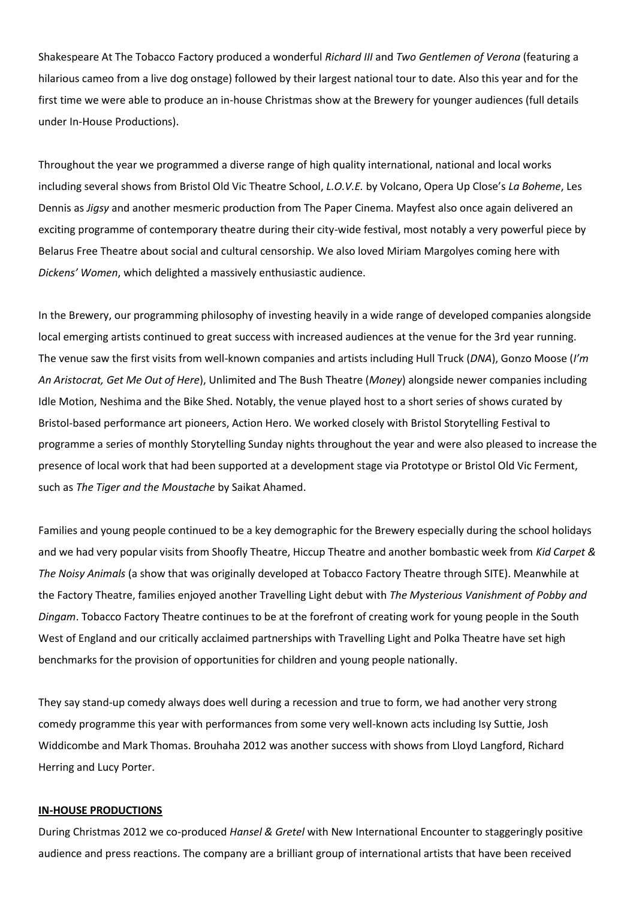Shakespeare At The Tobacco Factory produced a wonderful *Richard III* and *Two Gentlemen of Verona* (featuring a hilarious cameo from a live dog onstage) followed by their largest national tour to date. Also this year and for the first time we were able to produce an in-house Christmas show at the Brewery for younger audiences (full details under In-House Productions).

Throughout the year we programmed a diverse range of high quality international, national and local works including several shows from Bristol Old Vic Theatre School, *L.O.V.E.* by Volcano, Opera Up Close's *La Boheme*, Les Dennis as *Jigsy* and another mesmeric production from The Paper Cinema. Mayfest also once again delivered an exciting programme of contemporary theatre during their city-wide festival, most notably a very powerful piece by Belarus Free Theatre about social and cultural censorship. We also loved Miriam Margolyes coming here with *Dickens' Women*, which delighted a massively enthusiastic audience.

In the Brewery, our programming philosophy of investing heavily in a wide range of developed companies alongside local emerging artists continued to great success with increased audiences at the venue for the 3rd year running. The venue saw the first visits from well-known companies and artists including Hull Truck (*DNA*), Gonzo Moose (*I'm An Aristocrat, Get Me Out of Here*), Unlimited and The Bush Theatre (*Money*) alongside newer companies including Idle Motion, Neshima and the Bike Shed. Notably, the venue played host to a short series of shows curated by Bristol-based performance art pioneers, Action Hero. We worked closely with Bristol Storytelling Festival to programme a series of monthly Storytelling Sunday nights throughout the year and were also pleased to increase the presence of local work that had been supported at a development stage via Prototype or Bristol Old Vic Ferment, such as *The Tiger and the Moustache* by Saikat Ahamed.

Families and young people continued to be a key demographic for the Brewery especially during the school holidays and we had very popular visits from Shoofly Theatre, Hiccup Theatre and another bombastic week from *Kid Carpet & The Noisy Animals* (a show that was originally developed at Tobacco Factory Theatre through SITE). Meanwhile at the Factory Theatre, families enjoyed another Travelling Light debut with *The Mysterious Vanishment of Pobby and Dingam*. Tobacco Factory Theatre continues to be at the forefront of creating work for young people in the South West of England and our critically acclaimed partnerships with Travelling Light and Polka Theatre have set high benchmarks for the provision of opportunities for children and young people nationally.

They say stand-up comedy always does well during a recession and true to form, we had another very strong comedy programme this year with performances from some very well-known acts including Isy Suttie, Josh Widdicombe and Mark Thomas. Brouhaha 2012 was another success with shows from Lloyd Langford, Richard Herring and Lucy Porter.

# **IN-HOUSE PRODUCTIONS**

During Christmas 2012 we co-produced *Hansel & Gretel* with New International Encounter to staggeringly positive audience and press reactions. The company are a brilliant group of international artists that have been received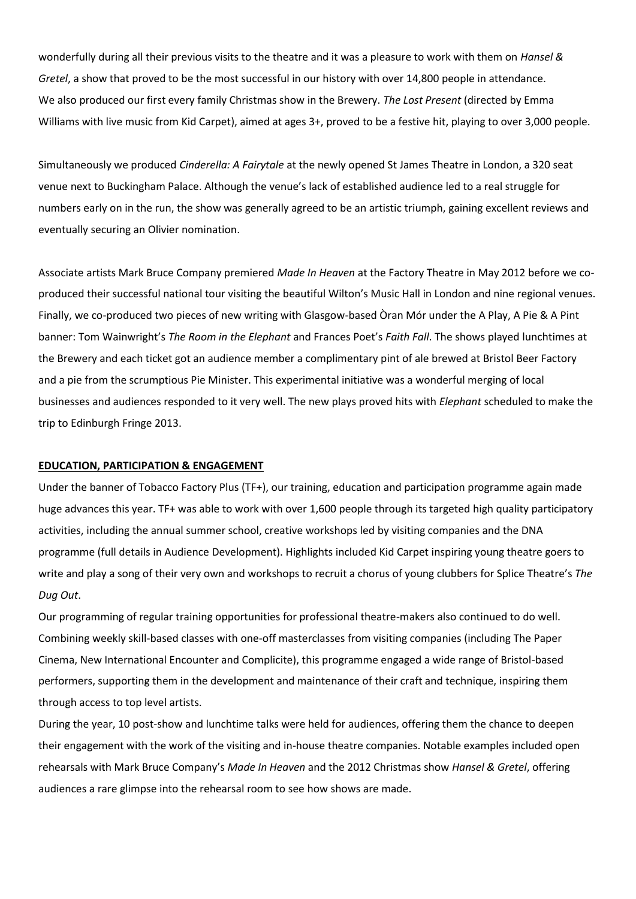wonderfully during all their previous visits to the theatre and it was a pleasure to work with them on *Hansel & Gretel*, a show that proved to be the most successful in our history with over 14,800 people in attendance. We also produced our first every family Christmas show in the Brewery. *The Lost Present* (directed by Emma Williams with live music from Kid Carpet), aimed at ages 3+, proved to be a festive hit, playing to over 3,000 people.

Simultaneously we produced *Cinderella: A Fairytale* at the newly opened St James Theatre in London, a 320 seat venue next to Buckingham Palace. Although the venue's lack of established audience led to a real struggle for numbers early on in the run, the show was generally agreed to be an artistic triumph, gaining excellent reviews and eventually securing an Olivier nomination.

Associate artists Mark Bruce Company premiered *Made In Heaven* at the Factory Theatre in May 2012 before we coproduced their successful national tour visiting the beautiful Wilton's Music Hall in London and nine regional venues. Finally, we co-produced two pieces of new writing with Glasgow-based Òran Mór under the A Play, A Pie & A Pint banner: Tom Wainwright's *The Room in the Elephant* and Frances Poet's *Faith Fall*. The shows played lunchtimes at the Brewery and each ticket got an audience member a complimentary pint of ale brewed at Bristol Beer Factory and a pie from the scrumptious Pie Minister. This experimental initiative was a wonderful merging of local businesses and audiences responded to it very well. The new plays proved hits with *Elephant* scheduled to make the trip to Edinburgh Fringe 2013.

#### **EDUCATION, PARTICIPATION & ENGAGEMENT**

Under the banner of Tobacco Factory Plus (TF+), our training, education and participation programme again made huge advances this year. TF+ was able to work with over 1,600 people through its targeted high quality participatory activities, including the annual summer school, creative workshops led by visiting companies and the DNA programme (full details in Audience Development). Highlights included Kid Carpet inspiring young theatre goers to write and play a song of their very own and workshops to recruit a chorus of young clubbers for Splice Theatre's *The Dug Out*.

Our programming of regular training opportunities for professional theatre-makers also continued to do well. Combining weekly skill-based classes with one-off masterclasses from visiting companies (including The Paper Cinema, New International Encounter and Complicite), this programme engaged a wide range of Bristol-based performers, supporting them in the development and maintenance of their craft and technique, inspiring them through access to top level artists.

During the year, 10 post-show and lunchtime talks were held for audiences, offering them the chance to deepen their engagement with the work of the visiting and in-house theatre companies. Notable examples included open rehearsals with Mark Bruce Company's *Made In Heaven* and the 2012 Christmas show *Hansel & Gretel*, offering audiences a rare glimpse into the rehearsal room to see how shows are made.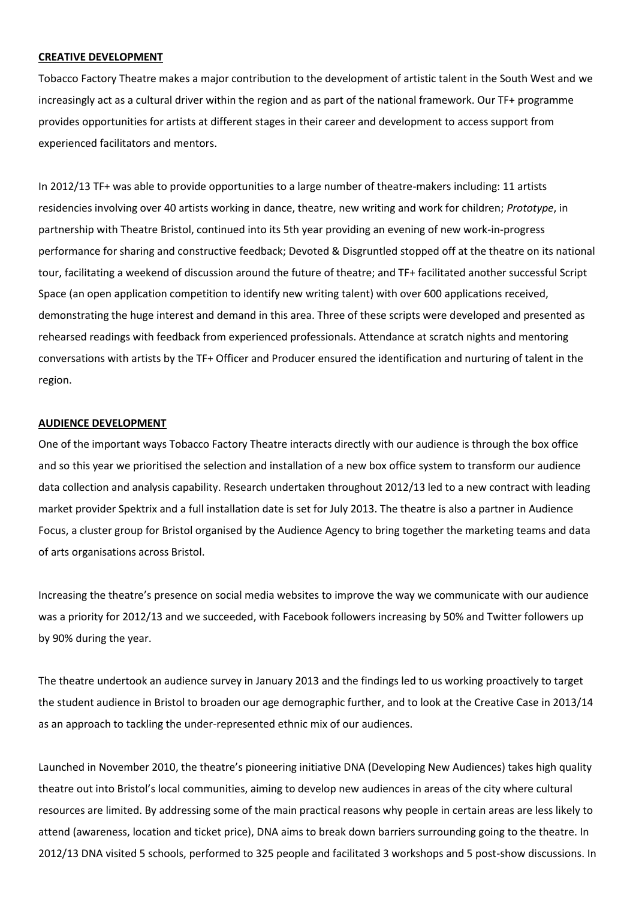#### **CREATIVE DEVELOPMENT**

Tobacco Factory Theatre makes a major contribution to the development of artistic talent in the South West and we increasingly act as a cultural driver within the region and as part of the national framework. Our TF+ programme provides opportunities for artists at different stages in their career and development to access support from experienced facilitators and mentors.

In 2012/13 TF+ was able to provide opportunities to a large number of theatre-makers including: 11 artists residencies involving over 40 artists working in dance, theatre, new writing and work for children; *Prototype*, in partnership with Theatre Bristol, continued into its 5th year providing an evening of new work-in-progress performance for sharing and constructive feedback; Devoted & Disgruntled stopped off at the theatre on its national tour, facilitating a weekend of discussion around the future of theatre; and TF+ facilitated another successful Script Space (an open application competition to identify new writing talent) with over 600 applications received, demonstrating the huge interest and demand in this area. Three of these scripts were developed and presented as rehearsed readings with feedback from experienced professionals. Attendance at scratch nights and mentoring conversations with artists by the TF+ Officer and Producer ensured the identification and nurturing of talent in the region.

#### **AUDIENCE DEVELOPMENT**

One of the important ways Tobacco Factory Theatre interacts directly with our audience is through the box office and so this year we prioritised the selection and installation of a new box office system to transform our audience data collection and analysis capability. Research undertaken throughout 2012/13 led to a new contract with leading market provider Spektrix and a full installation date is set for July 2013. The theatre is also a partner in Audience Focus, a cluster group for Bristol organised by the Audience Agency to bring together the marketing teams and data of arts organisations across Bristol.

Increasing the theatre's presence on social media websites to improve the way we communicate with our audience was a priority for 2012/13 and we succeeded, with Facebook followers increasing by 50% and Twitter followers up by 90% during the year.

The theatre undertook an audience survey in January 2013 and the findings led to us working proactively to target the student audience in Bristol to broaden our age demographic further, and to look at the Creative Case in 2013/14 as an approach to tackling the under-represented ethnic mix of our audiences.

Launched in November 2010, the theatre's pioneering initiative DNA (Developing New Audiences) takes high quality theatre out into Bristol's local communities, aiming to develop new audiences in areas of the city where cultural resources are limited. By addressing some of the main practical reasons why people in certain areas are less likely to attend (awareness, location and ticket price), DNA aims to break down barriers surrounding going to the theatre. In 2012/13 DNA visited 5 schools, performed to 325 people and facilitated 3 workshops and 5 post-show discussions. In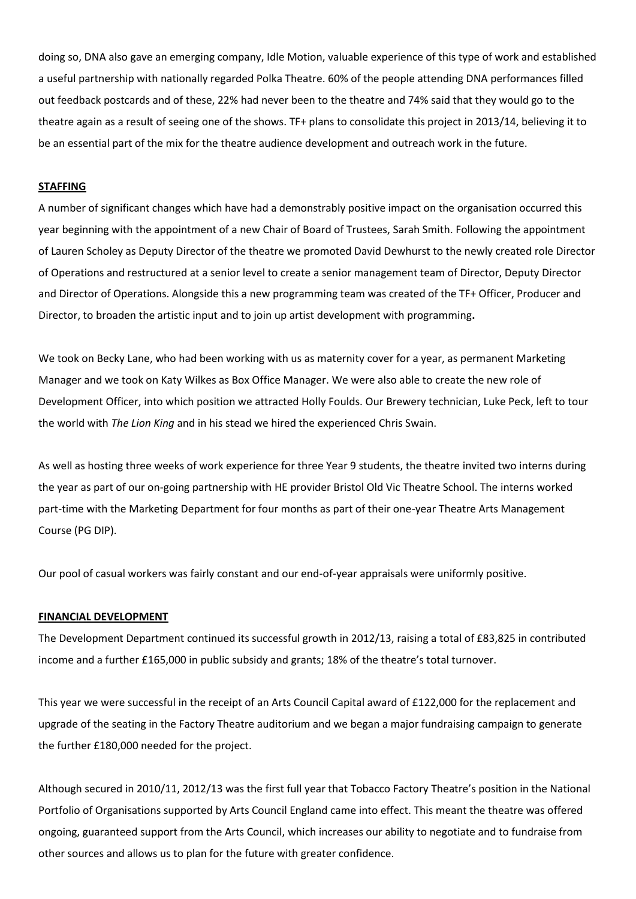doing so, DNA also gave an emerging company, Idle Motion, valuable experience of this type of work and established a useful partnership with nationally regarded Polka Theatre. 60% of the people attending DNA performances filled out feedback postcards and of these, 22% had never been to the theatre and 74% said that they would go to the theatre again as a result of seeing one of the shows. TF+ plans to consolidate this project in 2013/14, believing it to be an essential part of the mix for the theatre audience development and outreach work in the future.

#### **STAFFING**

A number of significant changes which have had a demonstrably positive impact on the organisation occurred this year beginning with the appointment of a new Chair of Board of Trustees, Sarah Smith. Following the appointment of Lauren Scholey as Deputy Director of the theatre we promoted David Dewhurst to the newly created role Director of Operations and restructured at a senior level to create a senior management team of Director, Deputy Director and Director of Operations. Alongside this a new programming team was created of the TF+ Officer, Producer and Director, to broaden the artistic input and to join up artist development with programming**.** 

We took on Becky Lane, who had been working with us as maternity cover for a year, as permanent Marketing Manager and we took on Katy Wilkes as Box Office Manager. We were also able to create the new role of Development Officer, into which position we attracted Holly Foulds. Our Brewery technician, Luke Peck, left to tour the world with *The Lion King* and in his stead we hired the experienced Chris Swain.

As well as hosting three weeks of work experience for three Year 9 students, the theatre invited two interns during the year as part of our on-going partnership with HE provider Bristol Old Vic Theatre School. The interns worked part-time with the Marketing Department for four months as part of their one-year Theatre Arts Management Course (PG DIP).

Our pool of casual workers was fairly constant and our end-of-year appraisals were uniformly positive.

#### **FINANCIAL DEVELOPMENT**

The Development Department continued its successful growth in 2012/13, raising a total of £83,825 in contributed income and a further £165,000 in public subsidy and grants; 18% of the theatre's total turnover.

This year we were successful in the receipt of an Arts Council Capital award of £122,000 for the replacement and upgrade of the seating in the Factory Theatre auditorium and we began a major fundraising campaign to generate the further £180,000 needed for the project.

Although secured in 2010/11, 2012/13 was the first full year that Tobacco Factory Theatre's position in the National Portfolio of Organisations supported by Arts Council England came into effect. This meant the theatre was offered ongoing, guaranteed support from the Arts Council, which increases our ability to negotiate and to fundraise from other sources and allows us to plan for the future with greater confidence.